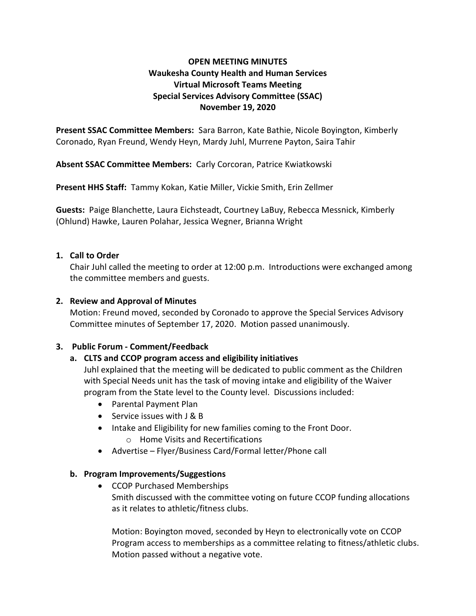## OPEN MEETING MINUTES Waukesha County Health and Human Services Virtual Microsoft Teams Meeting Special Services Advisory Committee (SSAC) November 19, 2020

Present SSAC Committee Members: Sara Barron, Kate Bathie, Nicole Boyington, Kimberly Coronado, Ryan Freund, Wendy Heyn, Mardy Juhl, Murrene Payton, Saira Tahir

Absent SSAC Committee Members: Carly Corcoran, Patrice Kwiatkowski

Present HHS Staff: Tammy Kokan, Katie Miller, Vickie Smith, Erin Zellmer

Guests: Paige Blanchette, Laura Eichsteadt, Courtney LaBuy, Rebecca Messnick, Kimberly (Ohlund) Hawke, Lauren Polahar, Jessica Wegner, Brianna Wright

#### 1. Call to Order

Chair Juhl called the meeting to order at 12:00 p.m. Introductions were exchanged among the committee members and guests.

#### 2. Review and Approval of Minutes

Motion: Freund moved, seconded by Coronado to approve the Special Services Advisory Committee minutes of September 17, 2020. Motion passed unanimously.

## 3. Public Forum - Comment/Feedback

## a. CLTS and CCOP program access and eligibility initiatives

Juhl explained that the meeting will be dedicated to public comment as the Children with Special Needs unit has the task of moving intake and eligibility of the Waiver program from the State level to the County level. Discussions included:

- Parental Payment Plan
- Service issues with J & B
- Intake and Eligibility for new families coming to the Front Door. o Home Visits and Recertifications
- Advertise Flyer/Business Card/Formal letter/Phone call

## b. Program Improvements/Suggestions

• CCOP Purchased Memberships Smith discussed with the committee voting on future CCOP funding allocations as it relates to athletic/fitness clubs.

Motion: Boyington moved, seconded by Heyn to electronically vote on CCOP Program access to memberships as a committee relating to fitness/athletic clubs. Motion passed without a negative vote.